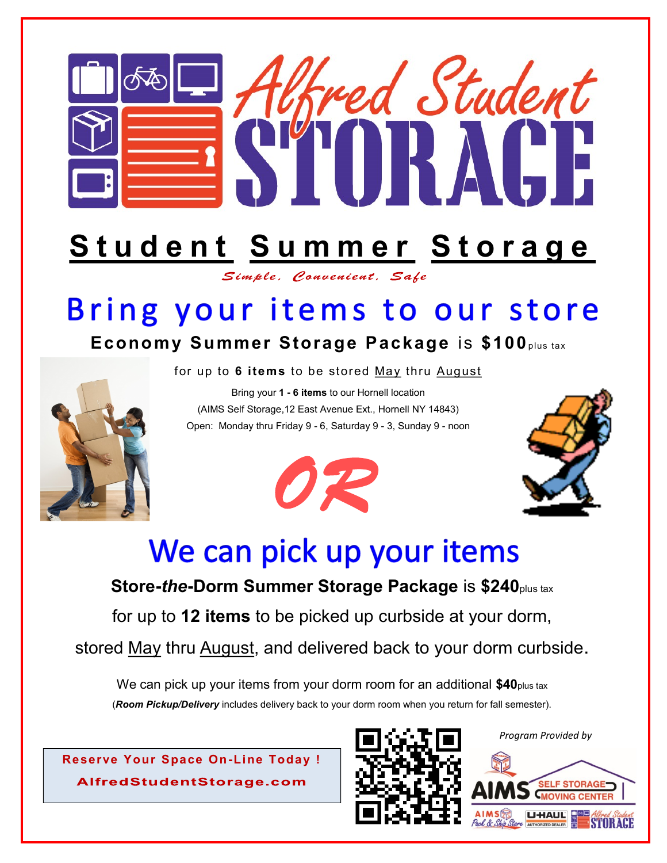

## **S t u d e n t S u m m e r S t o r a g e**

Simple. Convenient. Safe

## Bring your items to our store

## **Economy Summer Storage Package** is **\$100**plus tax

for up to **6 items** to be stored May thru August

Bring your **1 - 6 items** to our Hornell location (AIMS Self Storage,12 East Avenue Ext., Hornell NY 14843) Open: Monday thru Friday 9 - 6, Saturday 9 - 3, Sunday 9 - noon







## We can pick up your items

**Store-***the***-Dorm Summer Storage Package** is **\$240**plus tax

for up to **12 items** to be picked up curbside at your dorm,

stored May thru August, and delivered back to your dorm curbside.

We can pick up your items from your dorm room for an additional **\$40**plus tax (*Room Pickup/Delivery* includes delivery back to your dorm room when you return for fall semester).

**Reserve Your Space On-Line Today !** AlfredStudentStorage.com



*Program Provided by*